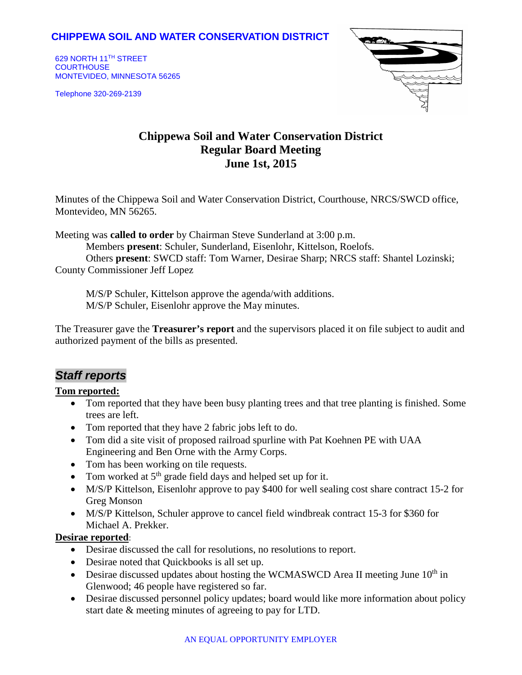## **CHIPPEWA SOIL AND WATER CONSERVATION DISTRICT**

629 NORTH 11TH STREET **COURTHOUSE** MONTEVIDEO, MINNESOTA 56265

Telephone 320-269-2139



# **Chippewa Soil and Water Conservation District Regular Board Meeting June 1st, 2015**

Minutes of the Chippewa Soil and Water Conservation District, Courthouse, NRCS/SWCD office, Montevideo, MN 56265.

Meeting was **called to order** by Chairman Steve Sunderland at 3:00 p.m.

Members **present**: Schuler, Sunderland, Eisenlohr, Kittelson, Roelofs.

Others **present**: SWCD staff: Tom Warner, Desirae Sharp; NRCS staff: Shantel Lozinski; County Commissioner Jeff Lopez

M/S/P Schuler, Kittelson approve the agenda/with additions. M/S/P Schuler, Eisenlohr approve the May minutes.

The Treasurer gave the **Treasurer's report** and the supervisors placed it on file subject to audit and authorized payment of the bills as presented.

## *Staff reports*

#### **Tom reported:**

- Tom reported that they have been busy planting trees and that tree planting is finished. Some trees are left.
- Tom reported that they have 2 fabric jobs left to do.
- Tom did a site visit of proposed railroad spurline with Pat Koehnen PE with UAA Engineering and Ben Orne with the Army Corps.
- Tom has been working on tile requests.
- Tom worked at  $5<sup>th</sup>$  grade field days and helped set up for it.
- M/S/P Kittelson, Eisenlohr approve to pay \$400 for well sealing cost share contract 15-2 for Greg Monson
- M/S/P Kittelson, Schuler approve to cancel field windbreak contract 15-3 for \$360 for Michael A. Prekker.

#### **Desirae reported**:

- Desirae discussed the call for resolutions, no resolutions to report.
- Desirae noted that Quickbooks is all set up.
- Desirae discussed updates about hosting the WCMASWCD Area II meeting June  $10<sup>th</sup>$  in Glenwood; 46 people have registered so far.
- Desirae discussed personnel policy updates; board would like more information about policy start date & meeting minutes of agreeing to pay for LTD.